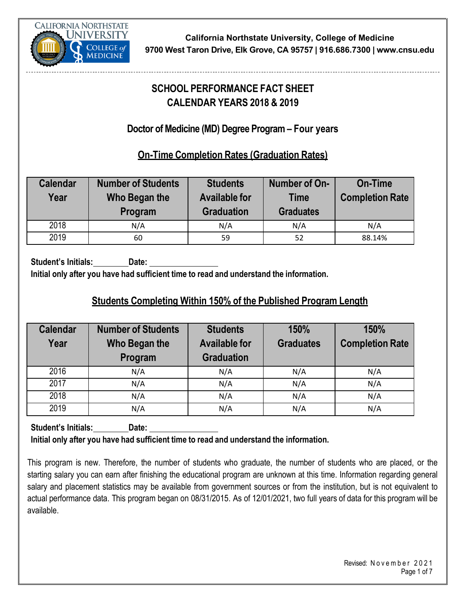

# **SCHOOL PERFORMANCE FACT SHEET CALENDAR YEARS 2018 & 2019**

## **Doctor of Medicine (MD) Degree Program – Four years**

#### **On-Time Completion Rates (Graduation Rates)**

| <b>Calendar</b><br>Year | <b>Number of Students</b><br>Who Began the<br>Program | <b>Students</b><br><b>Available for</b><br><b>Graduation</b> | Number of On-<br><b>Time</b><br><b>Graduates</b> | <b>On-Time</b><br><b>Completion Rate</b> |
|-------------------------|-------------------------------------------------------|--------------------------------------------------------------|--------------------------------------------------|------------------------------------------|
| 2018                    | N/A                                                   | N/A                                                          | N/A                                              | N/A                                      |
| 2019                    | 60                                                    | 59                                                           | 52                                               | 88.14%                                   |

**Student's Initials: Date:**

**Initial only after you have had sufficient time to read and understand the information.**

#### **Students Completing Within 150% of the Published Program Length**

| <b>Calendar</b><br>Year | <b>Number of Students</b><br>Who Began the<br>Program | <b>Students</b><br><b>Available for</b><br><b>Graduation</b> | 150%<br><b>Graduates</b> | 150%<br><b>Completion Rate</b> |
|-------------------------|-------------------------------------------------------|--------------------------------------------------------------|--------------------------|--------------------------------|
| 2016                    | N/A                                                   | N/A                                                          | N/A                      | N/A                            |
| 2017                    | N/A                                                   | N/A                                                          | N/A                      | N/A                            |
| 2018                    | N/A                                                   | N/A                                                          | N/A                      | N/A                            |
| 2019                    | N/A                                                   | N/A                                                          | N/A                      | N/A                            |

**Student's Initials: Date:**

**Initial only after you have had sufficient time to read and understand the information.**

This program is new. Therefore, the number of students who graduate, the number of students who are placed, or the starting salary you can earn after finishing the educational program are unknown at this time. Information regarding general salary and placement statistics may be available from government sources or from the institution, but is not equivalent to actual performance data. This program began on 08/31/2015. As of 12/01/2021, two full years of data for this program will be available.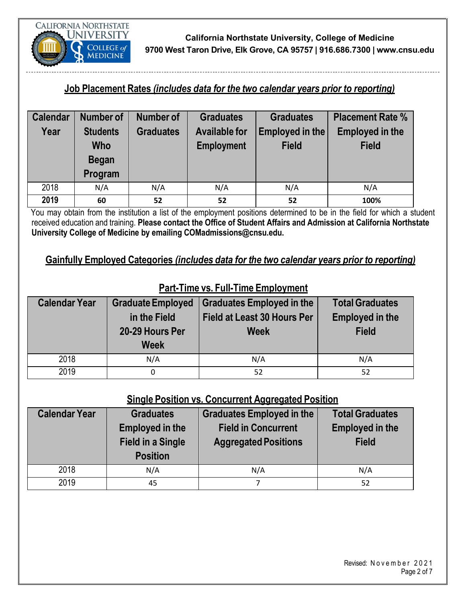

#### **Job Placement Rates** *(includes data for the two calendar years prior to reporting)*

| <b>Calendar</b> | <b>Number of</b> | <b>Number of</b> | <b>Graduates</b>     | <b>Graduates</b> | <b>Placement Rate %</b> |
|-----------------|------------------|------------------|----------------------|------------------|-------------------------|
| Year            | <b>Students</b>  | <b>Graduates</b> | <b>Available for</b> | Employed in the  | <b>Employed in the</b>  |
|                 | <b>Who</b>       |                  | <b>Employment</b>    | <b>Field</b>     | <b>Field</b>            |
|                 | <b>Began</b>     |                  |                      |                  |                         |
|                 | Program          |                  |                      |                  |                         |
| 2018            | N/A              | N/A              | N/A                  | N/A              | N/A                     |
| 2019            | 60               | 52               | 52                   | 52               | 100%                    |

You may obtain from the institution a list of the employment positions determined to be in the field for which a student received education and training. **Please contact the Office of Student Affairs and Admission at California Northstate University College of Medicine by emailing COMadmissions@cnsu.edu.**

**Gainfully Employed Categories** *(includes data for the two calendar years prior to reporting)*

| <b>Calendar Year</b> | <b>Graduate Employed</b> | <b>Graduates Employed in the</b>   | <b>Total Graduates</b> |
|----------------------|--------------------------|------------------------------------|------------------------|
|                      | in the Field             | <b>Field at Least 30 Hours Per</b> | <b>Employed in the</b> |
|                      | 20-29 Hours Per          | <b>Week</b>                        | <b>Field</b>           |
|                      | <b>Week</b>              |                                    |                        |
| 2018                 | N/A                      | N/A                                | N/A                    |
| 2019                 |                          | 52                                 | 52                     |

#### **Part-Time vs. Full-Time Employment**

# **Single Position vs. Concurrent Aggregated Position**

| <b>Calendar Year</b> | <b>Graduates</b><br><b>Employed in the</b><br><b>Field in a Single</b><br><b>Position</b> | <b>Graduates Employed in the</b><br><b>Field in Concurrent</b><br><b>Aggregated Positions</b> | <b>Total Graduates</b><br><b>Employed in the</b><br><b>Field</b> |
|----------------------|-------------------------------------------------------------------------------------------|-----------------------------------------------------------------------------------------------|------------------------------------------------------------------|
| 2018                 | N/A                                                                                       | N/A                                                                                           | N/A                                                              |
| 2019                 | 45                                                                                        |                                                                                               | 52                                                               |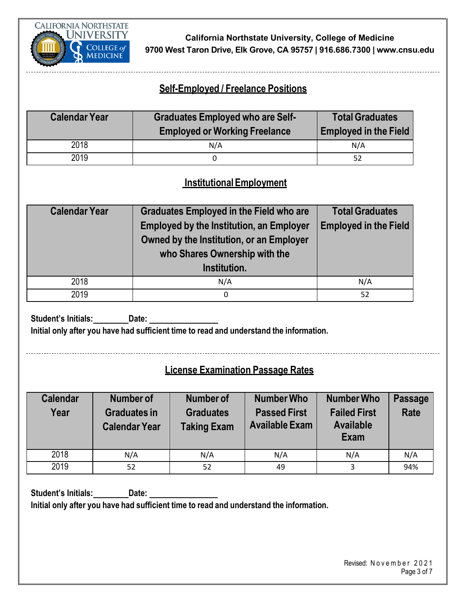

#### **Self-Employed / Freelance Positions**

| <b>Calendar Year</b> | <b>Graduates Employed who are Self-</b><br><b>Employed or Working Freelance</b> | <b>Total Graduates</b><br><b>Employed in the Field</b> |
|----------------------|---------------------------------------------------------------------------------|--------------------------------------------------------|
| 2018                 | N/A                                                                             | N/A                                                    |
| 2019                 |                                                                                 | 52                                                     |

#### **InstitutionalEmployment**

| <b>Calendar Year</b> | <b>Graduates Employed in the Field who are</b><br><b>Employed by the Institution, an Employer</b><br>Owned by the Institution, or an Employer<br>who Shares Ownership with the<br>Institution. | <b>Total Graduates</b><br><b>Employed in the Field</b> |
|----------------------|------------------------------------------------------------------------------------------------------------------------------------------------------------------------------------------------|--------------------------------------------------------|
| 2018                 | N/A                                                                                                                                                                                            | N/A                                                    |
| 2019                 | 0                                                                                                                                                                                              | 52                                                     |

**Student's Initials: Date:**

**Initial only after you have had sufficient time to read and understand the information.**

#### **License Examination Passage Rates**

| <b>Calendar</b><br>Year | Number of<br><b>Graduates in</b><br><b>Calendar Year</b> | Number of<br><b>Graduates</b><br><b>Taking Exam</b> | <b>Number Who</b><br><b>Passed First</b><br><b>Available Exam</b> | <b>Number Who</b><br><b>Failed First</b><br><b>Available</b><br>Exam | <b>Passage</b><br><b>Rate</b> |
|-------------------------|----------------------------------------------------------|-----------------------------------------------------|-------------------------------------------------------------------|----------------------------------------------------------------------|-------------------------------|
| 2018                    | N/A                                                      | N/A                                                 | N/A                                                               | N/A                                                                  | N/A                           |
| 2019                    | 52                                                       | 52                                                  | 49                                                                |                                                                      | 94%                           |

**Student's Initials: Date: Initial only after you have had sufficient time to read and understand the information.**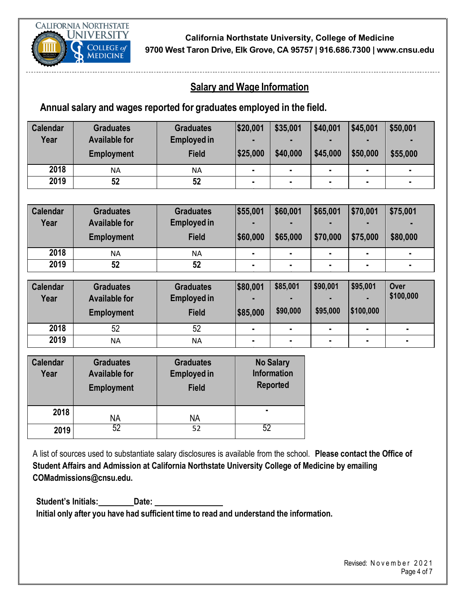

**1**

#### **Salary and Wage Information**

#### **Annual salary and wages reported for graduates employed in the field.**

| <b>Calendar</b><br>Year | <b>Graduates</b><br><b>Available for</b><br><b>Employment</b> | <b>Graduates</b><br><b>Employed in</b><br><b>Field</b> | \$20,001<br>\$25,000 | \$35,001<br>٠<br>\$40,000 | \$40,001<br>\$45,000 | \$45,001<br>н<br>\$50,000 | \$50,001<br>\$55,000 |
|-------------------------|---------------------------------------------------------------|--------------------------------------------------------|----------------------|---------------------------|----------------------|---------------------------|----------------------|
| 2018                    | NΑ                                                            | <b>NA</b>                                              | ٠                    | $\blacksquare$            | ٠                    | $\blacksquare$            |                      |
| 2019                    | 52                                                            | 52                                                     |                      |                           |                      |                           |                      |
|                         |                                                               |                                                        |                      |                           |                      |                           |                      |

| <b>Calendar</b><br>Year | <b>Graduates</b><br><b>Available for</b><br><b>Employment</b> | <b>Graduates</b><br><b>Employed in</b><br><b>Field</b> | \$55,001<br> \$60,000 | \$60,001<br>\$65,000 | \$65,001<br>\$70,000 | \$70,001<br>\$75,000 | \$75,001<br>\$80,000 |
|-------------------------|---------------------------------------------------------------|--------------------------------------------------------|-----------------------|----------------------|----------------------|----------------------|----------------------|
| 2018                    | ΝA                                                            | ΝA                                                     | ٠                     | ٠                    | ٠                    | ٠                    |                      |
| 2019                    | 52                                                            | 52                                                     | ۰                     | $\blacksquare$       |                      |                      |                      |

| <b>Calendar</b><br>Year | <b>Graduates</b><br><b>Available for</b><br><b>Employment</b> | <b>Graduates</b><br><b>Employed in</b><br><b>Field</b> | \$80,001<br>\$85,000 | \$85,001<br>٠<br>\$90,000 | \$90,001<br>\$95,000 | \$95,001<br> \$100,000 | Over<br>\$100,000 |
|-------------------------|---------------------------------------------------------------|--------------------------------------------------------|----------------------|---------------------------|----------------------|------------------------|-------------------|
| 2018                    | 52                                                            | 52                                                     | $\blacksquare$       | ٠                         | ٠                    | $\blacksquare$         | ж.                |
| 2019                    | ΝA                                                            | ΝA                                                     | ٠                    | ٠                         | ٠                    | ٠                      | ٠                 |

| <b>Calendar</b><br>Year | <b>Graduates</b><br><b>Available for</b><br><b>Employment</b> | <b>Graduates</b><br><b>Employed in</b><br><b>Field</b> | <b>No Salary</b><br><b>Information</b><br><b>Reported</b> |
|-------------------------|---------------------------------------------------------------|--------------------------------------------------------|-----------------------------------------------------------|
| 2018                    | ΝA                                                            | ΝA                                                     | ٠                                                         |
| 2019                    | 52                                                            | 52                                                     | 52                                                        |

A list of sources used to substantiate salary disclosures is available from the school. **Please contact the Office of Student Affairs and Admission at California Northstate University College of Medicine by emailing COMadmissions@cnsu.edu.**

**Student's Initials:** Date: **Initial only after you have had sufficient time to read and understand the information.**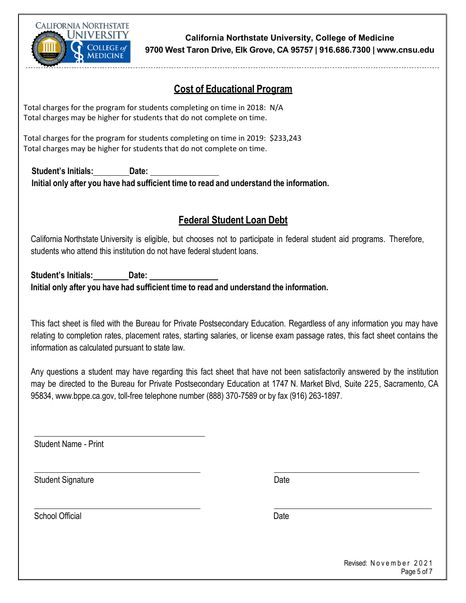

#### **Cost of Educational Program**

Total charges for the program for students completing on time in 2018: N/A Total charges may be higher for students that do not complete on time.

Total charges for the program for students completing on time in 2019: \$233,243 Total charges may be higher for students that do not complete on time.

**Student's Initials: Date: Initial only after you have had sufficient time to read and understand the information.**

#### **Federal Student Loan Debt**

California Northstate University is eligible, but chooses not to participate in federal student aid programs. Therefore, students who attend this institution do not have federal student loans.

**Student's Initials: Date: Initial only after you have had sufficient time to read and understand the information.**

This fact sheet is filed with the Bureau for Private Postsecondary Education. Regardless of any information you may have relating to completion rates, placement rates, starting salaries, or license exam passage rates, this fact sheet contains the information as calculated pursuant to state law.

Any questions a student may have regarding this fact sheet that have not been satisfactorily answered by the institution may be directed to the Bureau for Private Postsecondary Education at 1747 N. Market Blvd, Suite 225, Sacramento, CA 95834, [www.bppe.ca.gov,](http://www.bppe.ca.gov/) toll-free telephone number (888) 370-7589 or by fax (916) 263-1897.

Student Name - Print

Student Signature Date Controllers and Date Date Date

School Official Date Contract Contract Contract Contract Contract Contract Contract Contract Contract Contract Contract Contract Contract Contract Contract Contract Contract Contract Contract Contract Contract Contract Con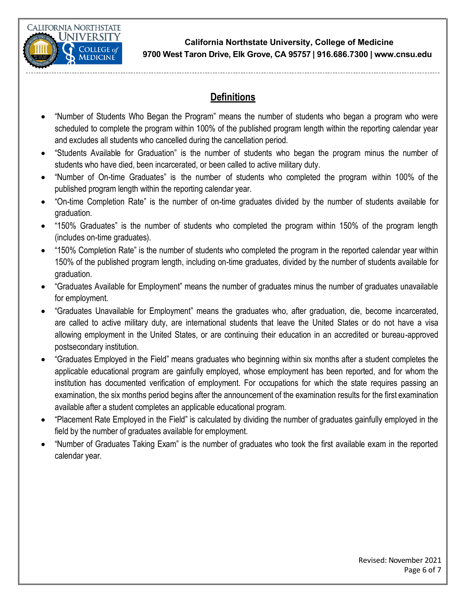

### **Definitions**

- "Number of Students Who Began the Program" means the number of students who began a program who were scheduled to complete the program within 100% of the published program length within the reporting calendar year and excludes all students who cancelled during the cancellation period.
- "Students Available for Graduation" is the number of students who began the program minus the number of students who have died, been incarcerated, or been called to active military duty.
- "Number of On-time Graduates" is the number of students who completed the program within 100% of the published program length within the reporting calendar year.
- "On-time Completion Rate" is the number of on-time graduates divided by the number of students available for graduation.
- "150% Graduates" is the number of students who completed the program within 150% of the program length (includes on-time graduates).
- "150% Completion Rate" is the number of students who completed the program in the reported calendar year within 150% of the published program length, including on-time graduates, divided by the number of students available for graduation.
- "Graduates Available for Employment" means the number of graduates minus the number of graduates unavailable for employment.
- "Graduates Unavailable for Employment" means the graduates who, after graduation, die, become incarcerated, are called to active military duty, are international students that leave the United States or do not have a visa allowing employment in the United States, or are continuing their education in an accredited or bureau-approved postsecondary institution.
- "Graduates Employed in the Field" means graduates who beginning within six months after a student completes the applicable educational program are gainfully employed, whose employment has been reported, and for whom the institution has documented verification of employment. For occupations for which the state requires passing an examination, the six months period begins after the announcement of the examination results for the first examination available after a student completes an applicable educational program.
- "Placement Rate Employed in the Field" is calculated by dividing the number of graduates gainfully employed in the field by the number of graduates available for employment.
- "Number of Graduates Taking Exam" is the number of graduates who took the first available exam in the reported calendar year.